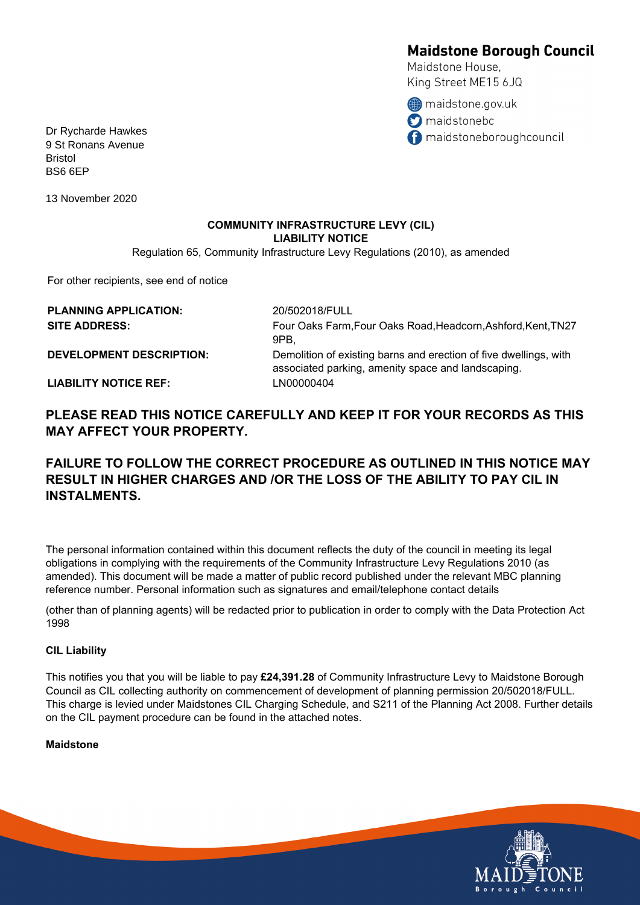# **Maidstone Borough Council**

Maidstone House. King Street ME15 6JQ

maidstone.gov.uk **O** maidstonebc naidstoneboroughcouncil

Dr Rycharde Hawkes 9 St Ronans Avenue Bristol BS6 6EP

13 November 2020

## **COMMUNITY INFRASTRUCTURE LEVY (CIL) LIABILITY NOTICE**

Regulation 65, Community Infrastructure Levy Regulations (2010), as amended

For other recipients, see end of notice

| <b>PLANNING APPLICATION:</b>    | 20/502018/FULL                                                                                                          |
|---------------------------------|-------------------------------------------------------------------------------------------------------------------------|
| <b>SITE ADDRESS:</b>            | Four Oaks Farm, Four Oaks Road, Headcorn, Ashford, Kent, TN27<br>9PB.                                                   |
| <b>DEVELOPMENT DESCRIPTION:</b> | Demolition of existing barns and erection of five dwellings, with<br>associated parking, amenity space and landscaping. |
| <b>LIABILITY NOTICE REF:</b>    | LN00000404                                                                                                              |

**PLEASE READ THIS NOTICE CAREFULLY AND KEEP IT FOR YOUR RECORDS AS THIS MAY AFFECT YOUR PROPERTY.**

# **FAILURE TO FOLLOW THE CORRECT PROCEDURE AS OUTLINED IN THIS NOTICE MAY RESULT IN HIGHER CHARGES AND /OR THE LOSS OF THE ABILITY TO PAY CIL IN INSTALMENTS.**

The personal information contained within this document reflects the duty of the council in meeting its legal obligations in complying with the requirements of the Community Infrastructure Levy Regulations 2010 (as amended). This document will be made a matter of public record published under the relevant MBC planning reference number. Personal information such as signatures and email/telephone contact details

(other than of planning agents) will be redacted prior to publication in order to comply with the Data Protection Act 1998

#### **CIL Liability**

This notifies you that you will be liable to pay **£24,391.28** of Community Infrastructure Levy to Maidstone Borough Council as CIL collecting authority on commencement of development of planning permission 20/502018/FULL. This charge is levied under Maidstones CIL Charging Schedule, and S211 of the Planning Act 2008. Further details on the CIL payment procedure can be found in the attached notes.

#### **Maidstone**

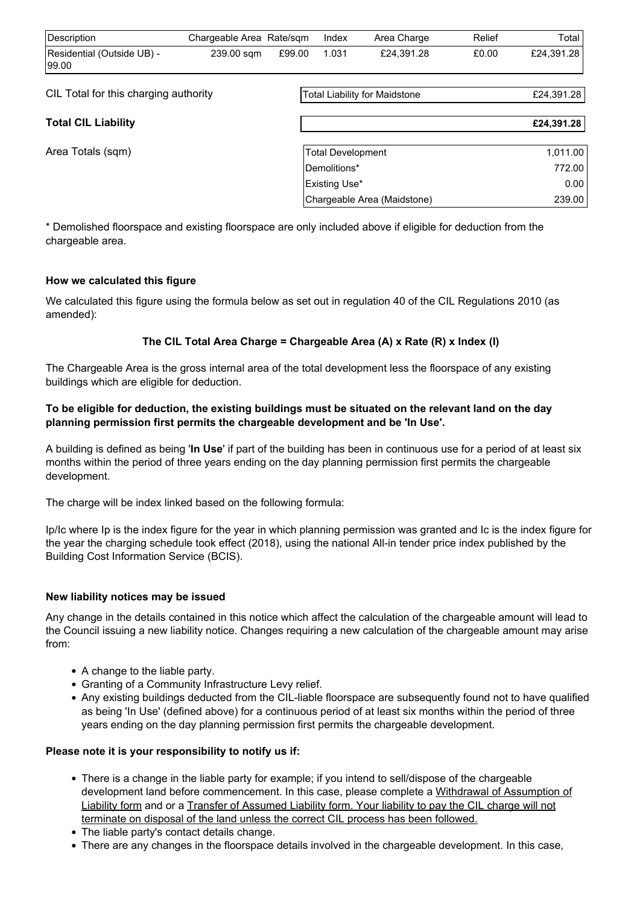| Description                           | Chargeable Area Rate/sqm |                                      | Index         | Area Charge                 | Relief     | Total      |
|---------------------------------------|--------------------------|--------------------------------------|---------------|-----------------------------|------------|------------|
| Residential (Outside UB) -<br>199.00  | 239.00 sqm               | £99.00                               | 1.031         | £24.391.28                  | £0.00      | £24,391.28 |
| CIL Total for this charging authority |                          | <b>Total Liability for Maidstone</b> |               |                             | £24,391.28 |            |
| <b>Total CIL Liability</b>            |                          |                                      |               |                             |            | £24,391.28 |
| Area Totals (sqm)                     |                          | Total Development                    |               |                             |            | 1,011.00   |
|                                       |                          |                                      | Demolitions*  |                             |            | 772.00     |
|                                       |                          |                                      | Existing Use* |                             |            | 0.00       |
|                                       |                          |                                      |               | Chargeable Area (Maidstone) |            | 239.00     |

\* Demolished floorspace and existing floorspace are only included above if eligible for deduction from the chargeable area.

#### **How we calculated this figure**

We calculated this figure using the formula below as set out in regulation 40 of the CIL Regulations 2010 (as amended):

### **The CIL Total Area Charge = Chargeable Area (A) x Rate (R) x Index (I)**

The Chargeable Area is the gross internal area of the total development less the floorspace of any existing buildings which are eligible for deduction.

#### **To be eligible for deduction, the existing buildings must be situated on the relevant land on the day planning permission first permits the chargeable development and be 'In Use'.**

A building is defined as being '**In Use**' if part of the building has been in continuous use for a period of at least six months within the period of three years ending on the day planning permission first permits the chargeable development.

The charge will be index linked based on the following formula:

Ip/Ic where Ip is the index figure for the year in which planning permission was granted and Ic is the index figure for the year the charging schedule took effect (2018), using the national All-in tender price index published by the Building Cost Information Service (BCIS).

#### **New liability notices may be issued**

Any change in the details contained in this notice which affect the calculation of the chargeable amount will lead to the Council issuing a new liability notice. Changes requiring a new calculation of the chargeable amount may arise from:

- A change to the liable party.
- Granting of a Community Infrastructure Levy relief.
- Any existing buildings deducted from the CIL-liable floorspace are subsequently found not to have qualified as being 'In Use' (defined above) for a continuous period of at least six months within the period of three years ending on the day planning permission first permits the chargeable development.

#### **Please note it is your responsibility to notify us if:**

- There is a change in the liable party for example; if you intend to sell/dispose of the chargeable development land before commencement. In this case, please complete a [Withdrawal of Assumption of](http://www.planningportal.gov.uk/uploads/1app/forms/form_3_withdrawal_of_assumption_of_liability.pdf) [Liability form](http://www.planningportal.gov.uk/uploads/1app/forms/form_3_withdrawal_of_assumption_of_liability.pdf) and or a [Transfer of Assumed Liability form.](http://www.planningportal.gov.uk/uploads/1app/forms/form_4_transfer_of_assumed_liability.pdf) Your liability to pay the CIL charge will not terminate on disposal of the land unless the correct CIL process has been followed.
- The liable party's contact details change.
- There are any changes in the floorspace details involved in the chargeable development. In this case,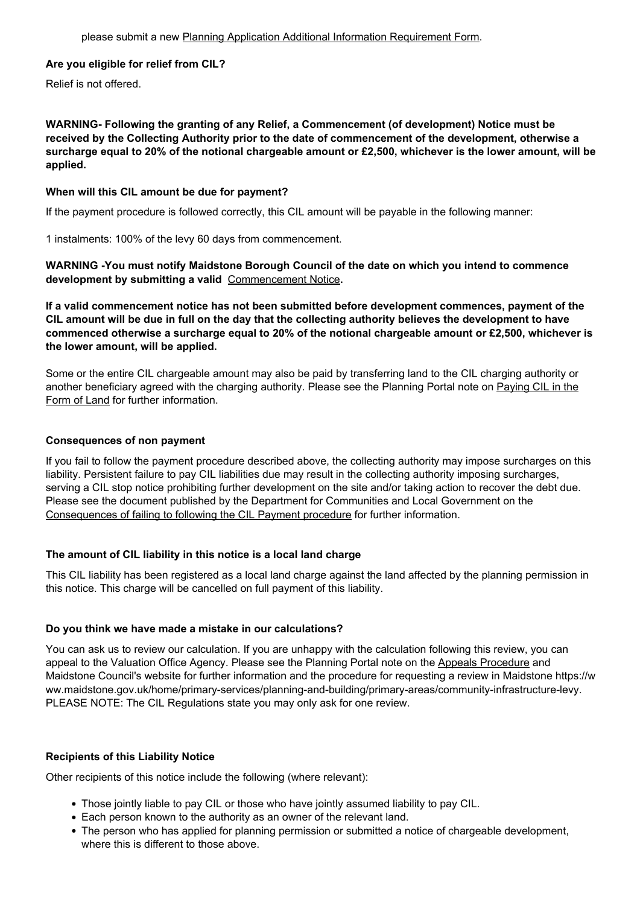#### **Are you eligible for relief from CIL?**

Relief is not offered.

**WARNING- Following the granting of any Relief, a Commencement (of development) Notice must be received by the Collecting Authority prior to the date of commencement of the development, otherwise a surcharge equal to 20% of the notional chargeable amount or £2,500, whichever is the lower amount, will be applied.** 

#### **When will this CIL amount be due for payment?**

If the payment procedure is followed correctly, this CIL amount will be payable in the following manner:

1 instalments: 100% of the levy 60 days from commencement.

**WARNING -You must notify Maidstone Borough Council of the date on which you intend to commence development by submitting a valid** [Commencement Notice](http://www.planningportal.gov.uk/uploads/1app/forms/form_6_commencement_notice.pdf)**.**

**If a valid commencement notice has not been submitted before development commences, payment of the CIL amount will be due in full on the day that the collecting authority believes the development to have commenced otherwise a surcharge equal to 20% of the notional chargeable amount or £2,500, whichever is the lower amount, will be applied.**

Some or the entire CIL chargeable amount may also be paid by transferring land to the CIL charging authority or another beneficiary agreed with the charging authority. Please see the Planning Portal note on [Paying CIL in the](http://www.planningportal.gov.uk/uploads/1app/forms/paying_cil_in_the_form_of_land.doc) [Form of Land](http://www.planningportal.gov.uk/uploads/1app/forms/paying_cil_in_the_form_of_land.doc) for further information.

#### **Consequences of non payment**

If you fail to follow the payment procedure described above, the collecting authority may impose surcharges on this liability. Persistent failure to pay CIL liabilities due may result in the collecting authority imposing surcharges, serving a CIL stop notice prohibiting further development on the site and/or taking action to recover the debt due. Please see the document published by the Department for Communities and Local Government on the [Consequences of failing to following the CIL Payment procedure](http://www.planningportal.gov.uk/uploads/1app/forms/consequences_of_failing_to_follow_the_cil_payment_procedure.doc) for further information.

#### **The amount of CIL liability in this notice is a local land charge**

This CIL liability has been registered as a local land charge against the land affected by the planning permission in this notice. This charge will be cancelled on full payment of this liability.

#### **Do you think we have made a mistake in our calculations?**

You can ask us to review our calculation. If you are unhappy with the calculation following this review, you can appeal to the Valuation Office Agency. Please see the Planning Portal note on the [Appeals Procedure](http://planningguidance.communities.gov.uk/blog/guidance/community-infrastructure-levy/cil-appeals/) and Maidstone Council's website for further information and the procedure for requesting a review in Maidstone https://w ww.maidstone.gov.uk/home/primary-services/planning-and-building/primary-areas/community-infrastructure-levy. PLEASE NOTE: The CIL Regulations state you may only ask for one review.

#### **Recipients of this Liability Notice**

Other recipients of this notice include the following (where relevant):

- Those jointly liable to pay CIL or those who have jointly assumed liability to pay CIL.
- Each person known to the authority as an owner of the relevant land.
- The person who has applied for planning permission or submitted a notice of chargeable development, where this is different to those above.